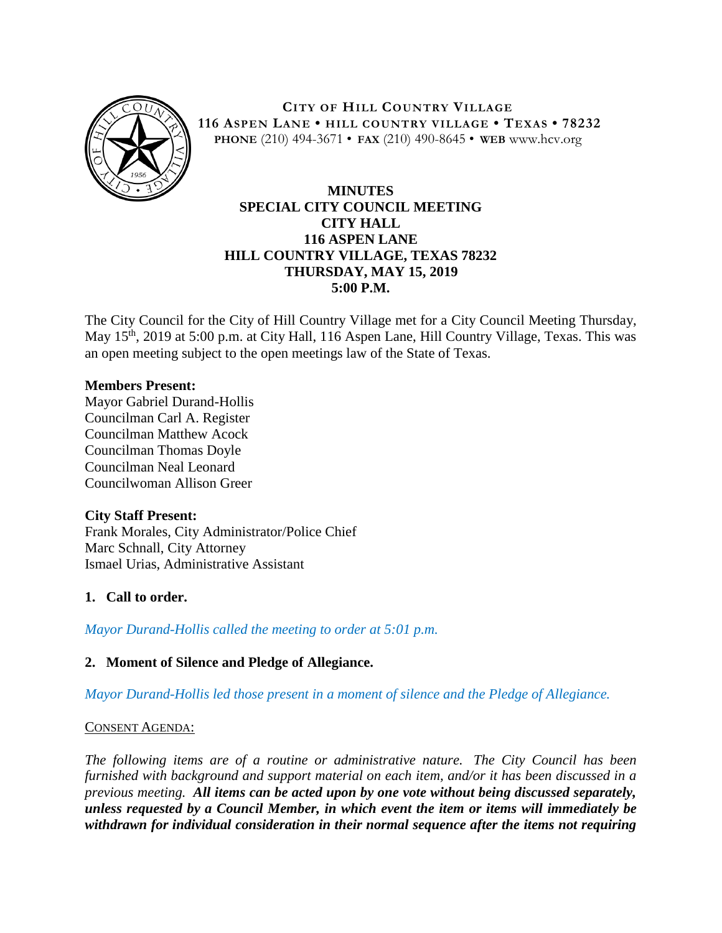

**CITY OF HILL COUNTRY VILLAGE 116 ASPEN LANE • HILL COUNTRY VILLAGE • TEXAS • 78232 PHONE** (210) 494-3671 • **FAX** (210) 490-8645 • **WEB** www.hcv.org

# **MINUTES SPECIAL CITY COUNCIL MEETING CITY HALL 116 ASPEN LANE HILL COUNTRY VILLAGE, TEXAS 78232 THURSDAY, MAY 15, 2019 5:00 P.M.**

The City Council for the City of Hill Country Village met for a City Council Meeting Thursday, May 15<sup>th</sup>, 2019 at 5:00 p.m. at City Hall, 116 Aspen Lane, Hill Country Village, Texas. This was an open meeting subject to the open meetings law of the State of Texas.

# **Members Present:**

Mayor Gabriel Durand-Hollis Councilman Carl A. Register Councilman Matthew Acock Councilman Thomas Doyle Councilman Neal Leonard Councilwoman Allison Greer

# **City Staff Present:**

Frank Morales, City Administrator/Police Chief Marc Schnall, City Attorney Ismael Urias, Administrative Assistant

# **1. Call to order.**

*Mayor Durand-Hollis called the meeting to order at 5:01 p.m.*

# **2. Moment of Silence and Pledge of Allegiance.**

*Mayor Durand-Hollis led those present in a moment of silence and the Pledge of Allegiance.*

#### CONSENT AGENDA:

*The following items are of a routine or administrative nature. The City Council has been furnished with background and support material on each item, and/or it has been discussed in a previous meeting. All items can be acted upon by one vote without being discussed separately, unless requested by a Council Member, in which event the item or items will immediately be withdrawn for individual consideration in their normal sequence after the items not requiring*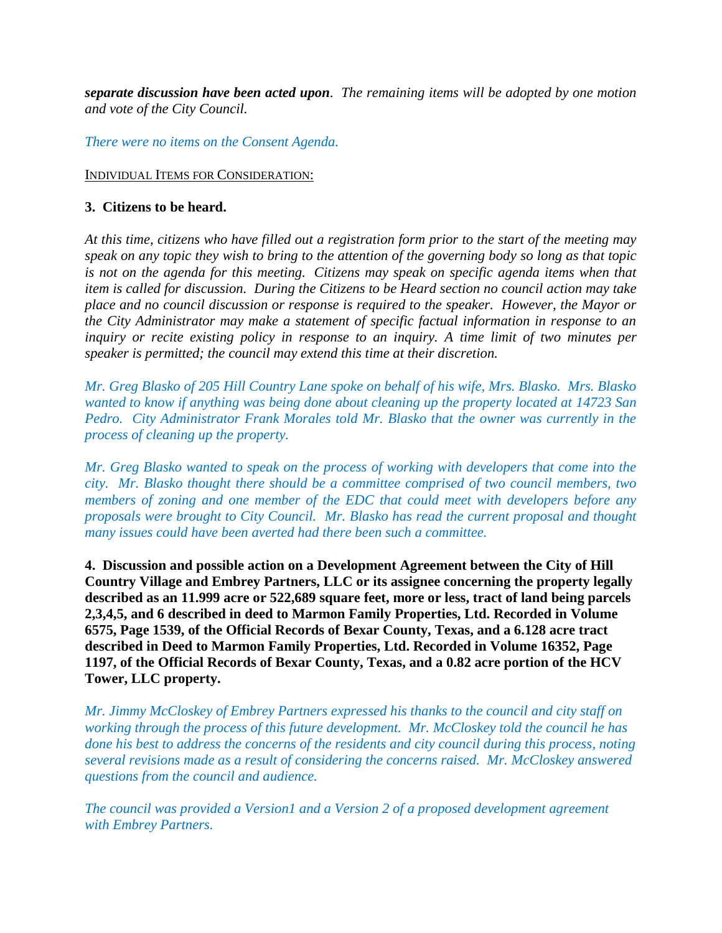*separate discussion have been acted upon. The remaining items will be adopted by one motion and vote of the City Council.*

*There were no items on the Consent Agenda.*

#### INDIVIDUAL ITEMS FOR CONSIDERATION:

# **3. Citizens to be heard.**

*At this time, citizens who have filled out a registration form prior to the start of the meeting may speak on any topic they wish to bring to the attention of the governing body so long as that topic is not on the agenda for this meeting. Citizens may speak on specific agenda items when that item is called for discussion. During the Citizens to be Heard section no council action may take place and no council discussion or response is required to the speaker. However, the Mayor or the City Administrator may make a statement of specific factual information in response to an inquiry or recite existing policy in response to an inquiry. A time limit of two minutes per speaker is permitted; the council may extend this time at their discretion.*

*Mr. Greg Blasko of 205 Hill Country Lane spoke on behalf of his wife, Mrs. Blasko. Mrs. Blasko wanted to know if anything was being done about cleaning up the property located at 14723 San Pedro. City Administrator Frank Morales told Mr. Blasko that the owner was currently in the process of cleaning up the property.*

*Mr. Greg Blasko wanted to speak on the process of working with developers that come into the city. Mr. Blasko thought there should be a committee comprised of two council members, two members of zoning and one member of the EDC that could meet with developers before any proposals were brought to City Council. Mr. Blasko has read the current proposal and thought many issues could have been averted had there been such a committee.*

**4. Discussion and possible action on a Development Agreement between the City of Hill Country Village and Embrey Partners, LLC or its assignee concerning the property legally described as an 11.999 acre or 522,689 square feet, more or less, tract of land being parcels 2,3,4,5, and 6 described in deed to Marmon Family Properties, Ltd. Recorded in Volume 6575, Page 1539, of the Official Records of Bexar County, Texas, and a 6.128 acre tract described in Deed to Marmon Family Properties, Ltd. Recorded in Volume 16352, Page 1197, of the Official Records of Bexar County, Texas, and a 0.82 acre portion of the HCV Tower, LLC property.** 

*Mr. Jimmy McCloskey of Embrey Partners expressed his thanks to the council and city staff on working through the process of this future development. Mr. McCloskey told the council he has done his best to address the concerns of the residents and city council during this process, noting several revisions made as a result of considering the concerns raised. Mr. McCloskey answered questions from the council and audience.*

*The council was provided a Version1 and a Version 2 of a proposed development agreement with Embrey Partners.*